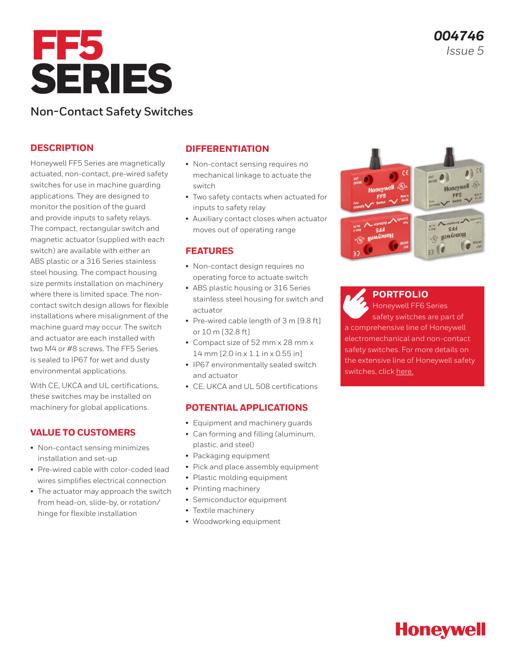

# **Non-Contact Safety Switches**

## **DESCRIPTION**

Honeywell FF5 Series are magnetically actuated, non-contact, pre-wired safety switches for use in machine guarding applications. They are designed to monitor the position of the guard and provide inputs to safety relays. The compact, rectangular switch and magnetic actuator (supplied with each switch) are available with either an ABS plastic or a 316 Series stainless steel housing. The compact housing size permits installation on machinery where there is limited space. The noncontact switch design allows for flexible installations where misalignment of the machine guard may occur. The switch and actuator are each installed with two M4 or #8 screws. The FF5 Series is sealed to IP67 for wet and dusty environmental applications.

With CE, UKCA and UL certifications. these switches may be installed on machinery for global applications.

## **VALUE TO CUSTOMERS**

- Non-contact sensing minimizes installation and set-up
- Pre-wired cable with color-coded lead wires simplifies electrical connection
- The actuator may approach the switch from head-on, slide-by, or rotation/ hinge for flexible installation

## **DIFFERENTIATION**

- Non-contact sensing requires no mechanical linkage to actuate the switch
- Two safety contacts when actuated for inputs to safety relay
- Auxiliary contact closes when actuator moves out of operating range

## **FEATURES**

- Non-contact design requires no operating force to actuate switch
- ABS plastic housing or 316 Series stainless steel housing for switch and actuator
- Pre-wired cable length of 3 m [9.8 ft] or 10 m [32.8 ft]
- Compact size of 52 mm x 28 mm x 14 mm [2.0 in x 1.1 in x 0.55 in]
- IP67 environmentally sealed switch and actuator
- CE, UKCA and UL 508 certifications

## **POTENTIAL APPLICATIONS**

- Equipment and machinery guards
- Can forming and filling (aluminum, plastic, and steel)
- Packaging equipment
- Pick and place assembly equipment
- Plastic molding equipment
- Printing machinery
- Semiconductor equipment
- Textile machinery
- Woodworking equipment



**[PORTFOLIO](https://sps.honeywell.com/us/en/products/sensing-and-iot/switches-and-controls/safety-limit-switches/non-contact-switches)** Honeywell FF6 Series safety switches are part of a comprehensive line of Honeywell electromechanical and non-contact safety switches. For more details on the extensive line of Honeywell safety switches, click [here.](https://sensing.honeywell.com/switches/safety-switches)

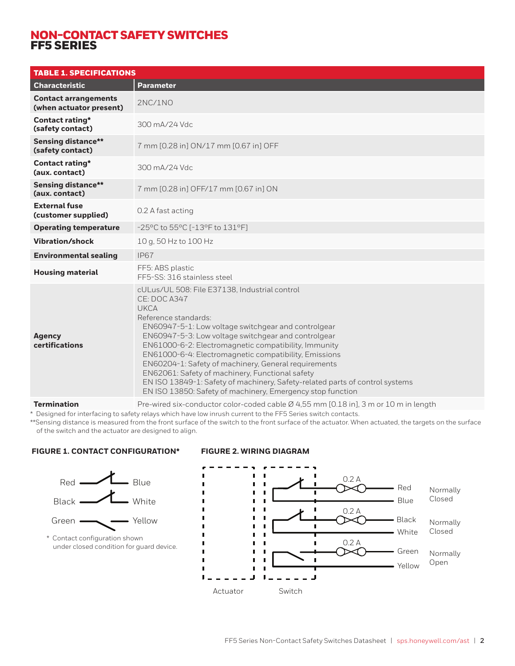## NON-CONTACT SAFETY SWITCHES FF5 SERIES

| <b>TABLE 1. SPECIFICATIONS</b>                         |                                                                                                                                                                                                                                                                                                                                                                                                                                                                                                                                                                                              |
|--------------------------------------------------------|----------------------------------------------------------------------------------------------------------------------------------------------------------------------------------------------------------------------------------------------------------------------------------------------------------------------------------------------------------------------------------------------------------------------------------------------------------------------------------------------------------------------------------------------------------------------------------------------|
| <b>Characteristic</b>                                  | <b>Parameter</b>                                                                                                                                                                                                                                                                                                                                                                                                                                                                                                                                                                             |
| <b>Contact arrangements</b><br>(when actuator present) | 2NC/1NO                                                                                                                                                                                                                                                                                                                                                                                                                                                                                                                                                                                      |
| Contact rating*<br>(safety contact)                    | 300 mA/24 Vdc                                                                                                                                                                                                                                                                                                                                                                                                                                                                                                                                                                                |
| <b>Sensing distance**</b><br>(safety contact)          | 7 mm [0.28 in] ON/17 mm [0.67 in] OFF                                                                                                                                                                                                                                                                                                                                                                                                                                                                                                                                                        |
| <b>Contact rating*</b><br>(aux. contact)               | 300 mA/24 Vdc                                                                                                                                                                                                                                                                                                                                                                                                                                                                                                                                                                                |
| <b>Sensing distance**</b><br>(aux. contact)            | 7 mm [0.28 in] OFF/17 mm [0.67 in] ON                                                                                                                                                                                                                                                                                                                                                                                                                                                                                                                                                        |
| <b>External fuse</b><br>(customer supplied)            | 0.2 A fast acting                                                                                                                                                                                                                                                                                                                                                                                                                                                                                                                                                                            |
| <b>Operating temperature</b>                           | -25°C to 55°C [-13°F to 131°F]                                                                                                                                                                                                                                                                                                                                                                                                                                                                                                                                                               |
| Vibration/shock                                        | 10 g, 50 Hz to 100 Hz                                                                                                                                                                                                                                                                                                                                                                                                                                                                                                                                                                        |
| <b>Environmental sealing</b>                           | <b>IP67</b>                                                                                                                                                                                                                                                                                                                                                                                                                                                                                                                                                                                  |
| <b>Housing material</b>                                | FF5: ABS plastic<br>FF5-SS: 316 stainless steel                                                                                                                                                                                                                                                                                                                                                                                                                                                                                                                                              |
| <b>Agency</b><br>certifications                        | cULus/UL 508: File E37138, Industrial control<br>CE: DOC A347<br><b>UKCA</b><br>Reference standards:<br>EN60947-5-1: Low voltage switchgear and controlgear<br>EN60947-5-3: Low voltage switchgear and controlgear<br>EN61000-6-2: Electromagnetic compatibility, Immunity<br>EN61000-6-4: Electromagnetic compatibility, Emissions<br>EN60204-1: Safety of machinery, General requirements<br>EN62061: Safety of machinery, Functional safety<br>EN ISO 13849-1: Safety of machinery, Safety-related parts of control systems<br>EN ISO 13850: Safety of machinery, Emergency stop function |
| <b>Termination</b>                                     | Pre-wired six-conductor color-coded cable Ø 4,55 mm [0.18 in], 3 m or 10 m in length                                                                                                                                                                                                                                                                                                                                                                                                                                                                                                         |

\* Designed for interfacing to safety relays which have low inrush current to the FF5 Series switch contacts.

\*\*Sensing distance is measured from the front surface of the switch to the front surface of the actuator. When actuated, the targets on the surface of the switch and the actuator are designed to align.

## **FIGURE 1. CONTACT CONFIGURATION\***



#### **FIGURE 2. WIRING DIAGRAM**

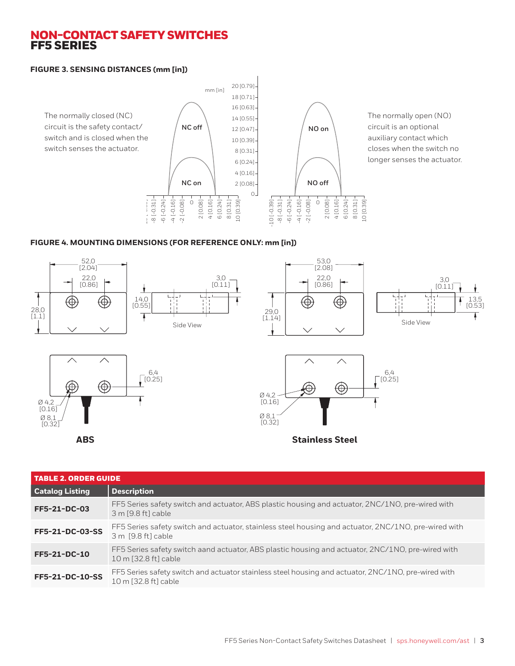## NON-CONTACT SAFETY SWITCHES FF5 SERIES

#### **FIGURE 3. SENSING DISTANCES (mm [in])**



The normally open (NO) circuit is an optional auxiliary contact which closes when the switch no longer senses the actuator.

## **FIGURE 4. MOUNTING DIMENSIONS (FOR REFERENCE ONLY: mm [in])**



| <b>TABLE 2. ORDER GUIDE</b> |                                                                                                                             |
|-----------------------------|-----------------------------------------------------------------------------------------------------------------------------|
| <b>Catalog Listing</b>      | <b>Description</b>                                                                                                          |
| FF5-21-DC-03                | FF5 Series safety switch and actuator, ABS plastic housing and actuator, 2NC/1NO, pre-wired with<br>3 m [9.8 ft] cable      |
| FF5-21-DC-03-SS             | FF5 Series safety switch and actuator, stainless steel housing and actuator, 2NC/1NO, pre-wired with<br>3 m [9.8 ft] cable  |
| FF5-21-DC-10                | FF5 Series safety switch aand actuator, ABS plastic housing and actuator, 2NC/1NO, pre-wired with<br>10 m [32.8 ft] cable   |
| FF5-21-DC-10-SS             | FF5 Series safety switch and actuator stainless steel housing and actuator, 2NC/1NO, pre-wired with<br>10 m [32.8 ft] cable |